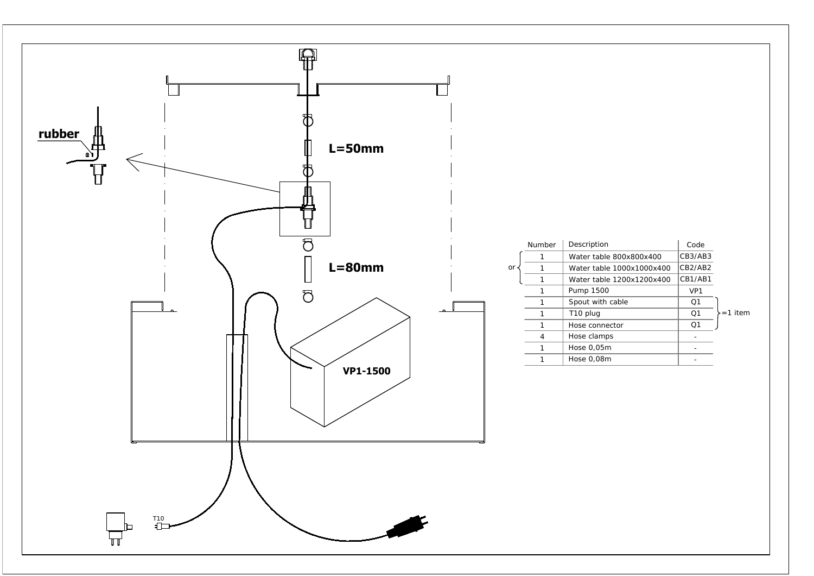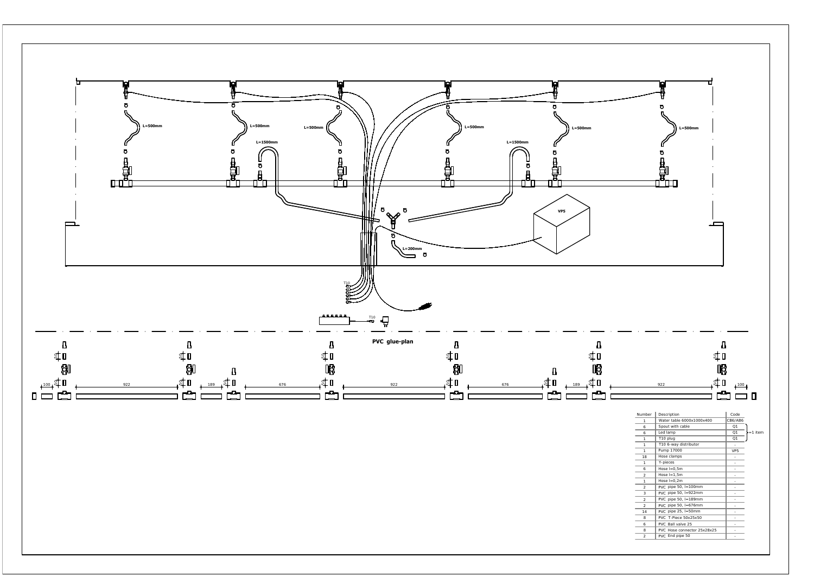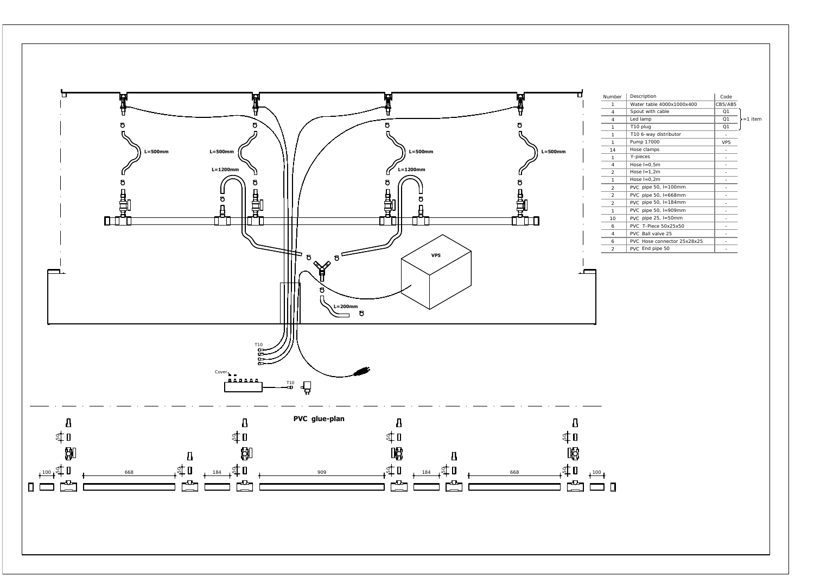